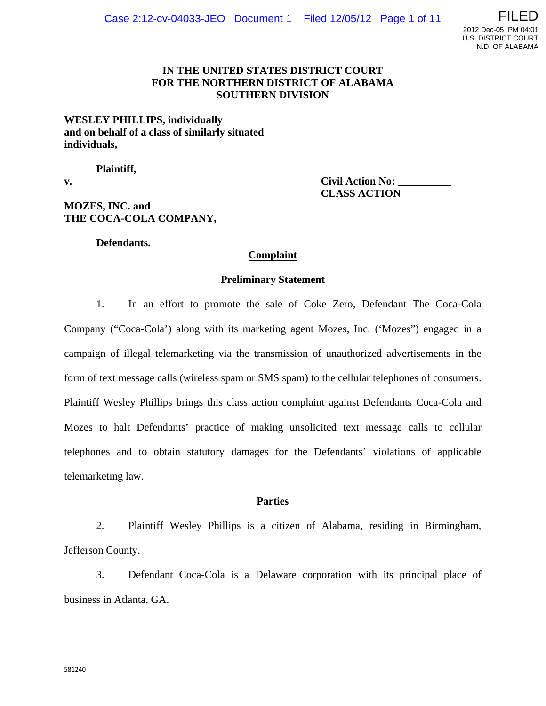## **IN THE UNITED STATES DISTRICT COURT FOR THE NORTHERN DISTRICT OF ALABAMA SOUTHERN DIVISION**

## **WESLEY PHILLIPS, individually and on behalf of a class of similarly situated individuals,**

**Plaintiff,** 

v. Civil Action No:  **CLASS ACTION** 

# **MOZES, INC. and THE COCA-COLA COMPANY,**

 **Defendants.** 

## **Complaint**

### **Preliminary Statement**

1. In an effort to promote the sale of Coke Zero, Defendant The Coca-Cola Company ("Coca-Cola') along with its marketing agent Mozes, Inc. ('Mozes") engaged in a campaign of illegal telemarketing via the transmission of unauthorized advertisements in the form of text message calls (wireless spam or SMS spam) to the cellular telephones of consumers. Plaintiff Wesley Phillips brings this class action complaint against Defendants Coca-Cola and Mozes to halt Defendants' practice of making unsolicited text message calls to cellular telephones and to obtain statutory damages for the Defendants' violations of applicable telemarketing law.

### **Parties**

2. Plaintiff Wesley Phillips is a citizen of Alabama, residing in Birmingham, Jefferson County.

3. Defendant Coca-Cola is a Delaware corporation with its principal place of business in Atlanta, GA.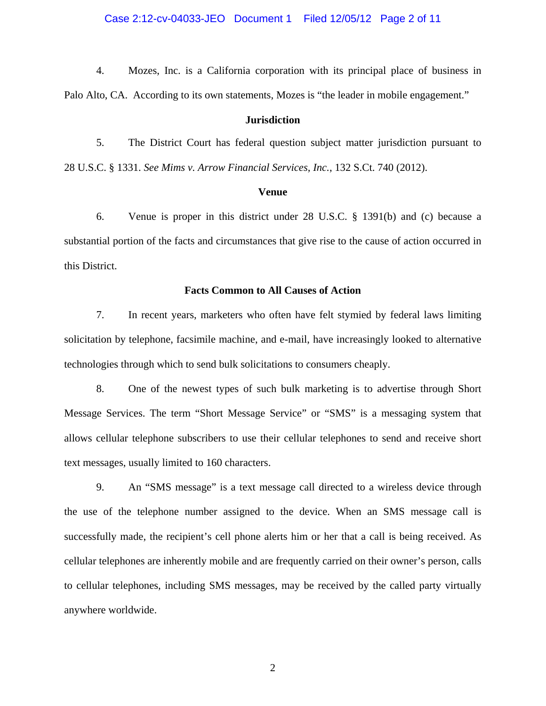Case 2:12-cv-04033-JEO Document 1 Filed 12/05/12 Page 2 of 11

4. Mozes, Inc. is a California corporation with its principal place of business in Palo Alto, CA. According to its own statements, Mozes is "the leader in mobile engagement."

### **Jurisdiction**

5. The District Court has federal question subject matter jurisdiction pursuant to 28 U.S.C. § 1331. *See Mims v. Arrow Financial Services, Inc.*, 132 S.Ct. 740 (2012).

#### **Venue**

6. Venue is proper in this district under 28 U.S.C. § 1391(b) and (c) because a substantial portion of the facts and circumstances that give rise to the cause of action occurred in this District.

### **Facts Common to All Causes of Action**

7. In recent years, marketers who often have felt stymied by federal laws limiting solicitation by telephone, facsimile machine, and e-mail, have increasingly looked to alternative technologies through which to send bulk solicitations to consumers cheaply.

8. One of the newest types of such bulk marketing is to advertise through Short Message Services. The term "Short Message Service" or "SMS" is a messaging system that allows cellular telephone subscribers to use their cellular telephones to send and receive short text messages, usually limited to 160 characters.

9. An "SMS message" is a text message call directed to a wireless device through the use of the telephone number assigned to the device. When an SMS message call is successfully made, the recipient's cell phone alerts him or her that a call is being received. As cellular telephones are inherently mobile and are frequently carried on their owner's person, calls to cellular telephones, including SMS messages, may be received by the called party virtually anywhere worldwide.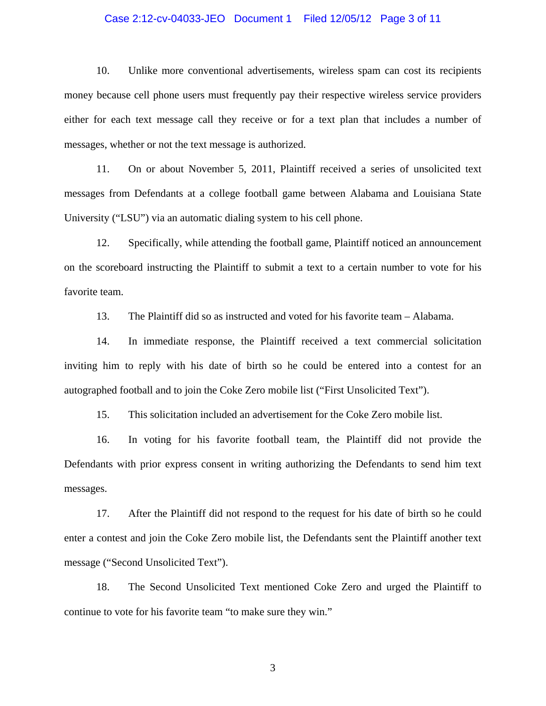#### Case 2:12-cv-04033-JEO Document 1 Filed 12/05/12 Page 3 of 11

10. Unlike more conventional advertisements, wireless spam can cost its recipients money because cell phone users must frequently pay their respective wireless service providers either for each text message call they receive or for a text plan that includes a number of messages, whether or not the text message is authorized.

11. On or about November 5, 2011, Plaintiff received a series of unsolicited text messages from Defendants at a college football game between Alabama and Louisiana State University ("LSU") via an automatic dialing system to his cell phone.

12. Specifically, while attending the football game, Plaintiff noticed an announcement on the scoreboard instructing the Plaintiff to submit a text to a certain number to vote for his favorite team.

13. The Plaintiff did so as instructed and voted for his favorite team – Alabama.

14. In immediate response, the Plaintiff received a text commercial solicitation inviting him to reply with his date of birth so he could be entered into a contest for an autographed football and to join the Coke Zero mobile list ("First Unsolicited Text").

15. This solicitation included an advertisement for the Coke Zero mobile list.

16. In voting for his favorite football team, the Plaintiff did not provide the Defendants with prior express consent in writing authorizing the Defendants to send him text messages.

17. After the Plaintiff did not respond to the request for his date of birth so he could enter a contest and join the Coke Zero mobile list, the Defendants sent the Plaintiff another text message ("Second Unsolicited Text").

18. The Second Unsolicited Text mentioned Coke Zero and urged the Plaintiff to continue to vote for his favorite team "to make sure they win."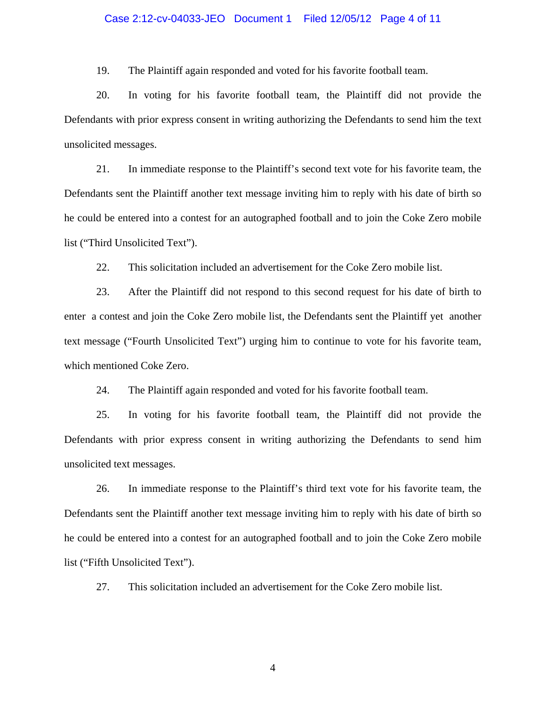#### Case 2:12-cv-04033-JEO Document 1 Filed 12/05/12 Page 4 of 11

19. The Plaintiff again responded and voted for his favorite football team.

20. In voting for his favorite football team, the Plaintiff did not provide the Defendants with prior express consent in writing authorizing the Defendants to send him the text unsolicited messages.

21. In immediate response to the Plaintiff's second text vote for his favorite team, the Defendants sent the Plaintiff another text message inviting him to reply with his date of birth so he could be entered into a contest for an autographed football and to join the Coke Zero mobile list ("Third Unsolicited Text").

22. This solicitation included an advertisement for the Coke Zero mobile list.

23. After the Plaintiff did not respond to this second request for his date of birth to enter a contest and join the Coke Zero mobile list, the Defendants sent the Plaintiff yet another text message ("Fourth Unsolicited Text") urging him to continue to vote for his favorite team, which mentioned Coke Zero.

24. The Plaintiff again responded and voted for his favorite football team.

25. In voting for his favorite football team, the Plaintiff did not provide the Defendants with prior express consent in writing authorizing the Defendants to send him unsolicited text messages.

26. In immediate response to the Plaintiff's third text vote for his favorite team, the Defendants sent the Plaintiff another text message inviting him to reply with his date of birth so he could be entered into a contest for an autographed football and to join the Coke Zero mobile list ("Fifth Unsolicited Text").

27. This solicitation included an advertisement for the Coke Zero mobile list.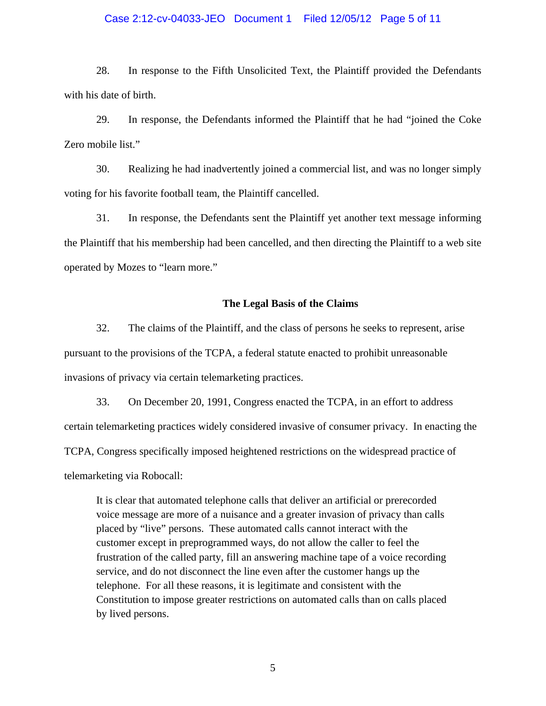#### Case 2:12-cv-04033-JEO Document 1 Filed 12/05/12 Page 5 of 11

28. In response to the Fifth Unsolicited Text, the Plaintiff provided the Defendants with his date of birth.

29. In response, the Defendants informed the Plaintiff that he had "joined the Coke Zero mobile list."

30. Realizing he had inadvertently joined a commercial list, and was no longer simply voting for his favorite football team, the Plaintiff cancelled.

31. In response, the Defendants sent the Plaintiff yet another text message informing the Plaintiff that his membership had been cancelled, and then directing the Plaintiff to a web site operated by Mozes to "learn more."

#### **The Legal Basis of the Claims**

32. The claims of the Plaintiff, and the class of persons he seeks to represent, arise pursuant to the provisions of the TCPA, a federal statute enacted to prohibit unreasonable invasions of privacy via certain telemarketing practices.

33. On December 20, 1991, Congress enacted the TCPA, in an effort to address certain telemarketing practices widely considered invasive of consumer privacy. In enacting the TCPA, Congress specifically imposed heightened restrictions on the widespread practice of telemarketing via Robocall:

It is clear that automated telephone calls that deliver an artificial or prerecorded voice message are more of a nuisance and a greater invasion of privacy than calls placed by "live" persons. These automated calls cannot interact with the customer except in preprogrammed ways, do not allow the caller to feel the frustration of the called party, fill an answering machine tape of a voice recording service, and do not disconnect the line even after the customer hangs up the telephone. For all these reasons, it is legitimate and consistent with the Constitution to impose greater restrictions on automated calls than on calls placed by lived persons.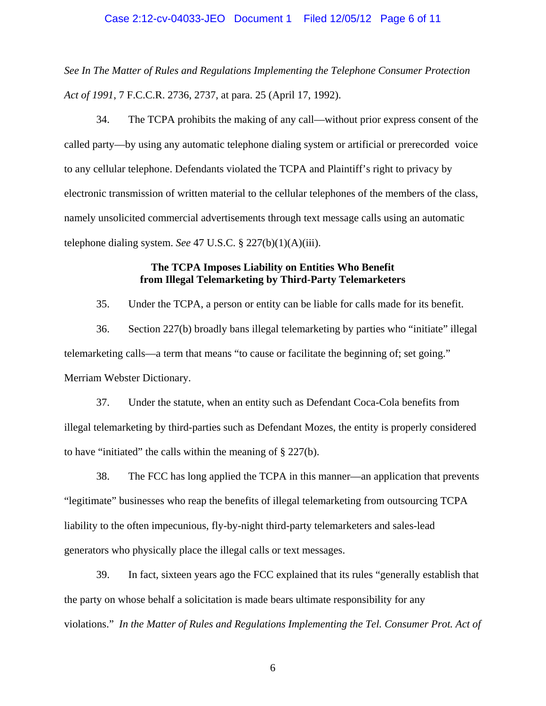#### Case 2:12-cv-04033-JEO Document 1 Filed 12/05/12 Page 6 of 11

*See In The Matter of Rules and Regulations Implementing the Telephone Consumer Protection Act of 1991*, 7 F.C.C.R. 2736, 2737, at para. 25 (April 17, 1992).

34. The TCPA prohibits the making of any call—without prior express consent of the called party—by using any automatic telephone dialing system or artificial or prerecorded voice to any cellular telephone. Defendants violated the TCPA and Plaintiff's right to privacy by electronic transmission of written material to the cellular telephones of the members of the class, namely unsolicited commercial advertisements through text message calls using an automatic telephone dialing system. *See* 47 U.S.C. § 227(b)(1)(A)(iii).

## **The TCPA Imposes Liability on Entities Who Benefit from Illegal Telemarketing by Third-Party Telemarketers**

35. Under the TCPA, a person or entity can be liable for calls made for its benefit.

36. Section 227(b) broadly bans illegal telemarketing by parties who "initiate" illegal telemarketing calls—a term that means "to cause or facilitate the beginning of; set going." Merriam Webster Dictionary.

37. Under the statute, when an entity such as Defendant Coca-Cola benefits from illegal telemarketing by third-parties such as Defendant Mozes, the entity is properly considered to have "initiated" the calls within the meaning of § 227(b).

38. The FCC has long applied the TCPA in this manner—an application that prevents "legitimate" businesses who reap the benefits of illegal telemarketing from outsourcing TCPA liability to the often impecunious, fly-by-night third-party telemarketers and sales-lead generators who physically place the illegal calls or text messages.

39. In fact, sixteen years ago the FCC explained that its rules "generally establish that the party on whose behalf a solicitation is made bears ultimate responsibility for any violations." *In the Matter of Rules and Regulations Implementing the Tel. Consumer Prot. Act of*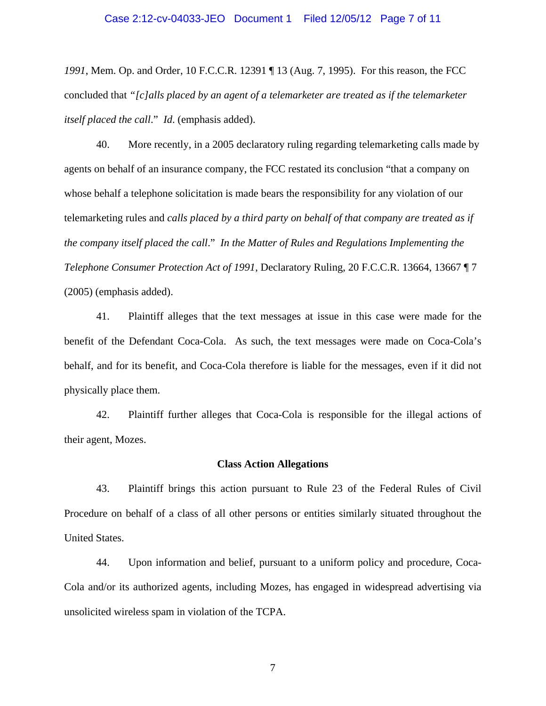#### Case 2:12-cv-04033-JEO Document 1 Filed 12/05/12 Page 7 of 11

*1991*, Mem. Op. and Order, 10 F.C.C.R. 12391 ¶ 13 (Aug. 7, 1995). For this reason, the FCC concluded that *"[c]alls placed by an agent of a telemarketer are treated as if the telemarketer itself placed the call*." *Id*. (emphasis added).

40. More recently, in a 2005 declaratory ruling regarding telemarketing calls made by agents on behalf of an insurance company, the FCC restated its conclusion "that a company on whose behalf a telephone solicitation is made bears the responsibility for any violation of our telemarketing rules and *calls placed by a third party on behalf of that company are treated as if the company itself placed the call*." *In the Matter of Rules and Regulations Implementing the Telephone Consumer Protection Act of 1991*, Declaratory Ruling, 20 F.C.C.R. 13664, 13667 ¶ 7 (2005) (emphasis added).

41. Plaintiff alleges that the text messages at issue in this case were made for the benefit of the Defendant Coca-Cola. As such, the text messages were made on Coca-Cola's behalf, and for its benefit, and Coca-Cola therefore is liable for the messages, even if it did not physically place them.

42. Plaintiff further alleges that Coca-Cola is responsible for the illegal actions of their agent, Mozes.

#### **Class Action Allegations**

43. Plaintiff brings this action pursuant to Rule 23 of the Federal Rules of Civil Procedure on behalf of a class of all other persons or entities similarly situated throughout the United States.

44. Upon information and belief, pursuant to a uniform policy and procedure, Coca-Cola and/or its authorized agents, including Mozes, has engaged in widespread advertising via unsolicited wireless spam in violation of the TCPA.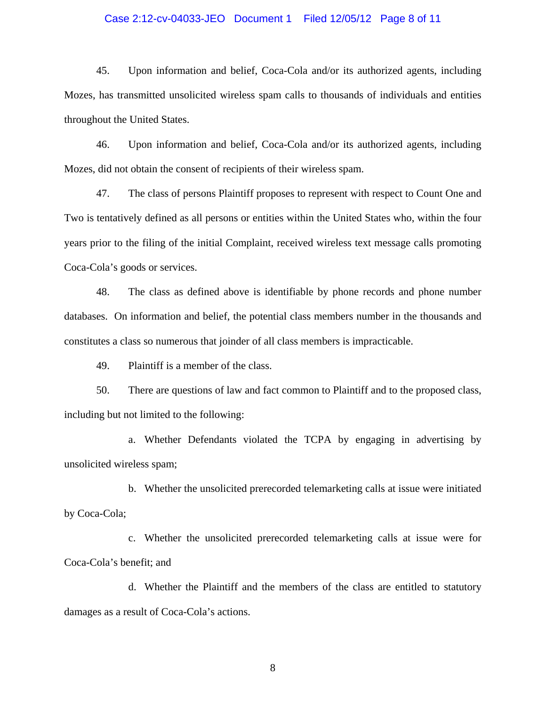#### Case 2:12-cv-04033-JEO Document 1 Filed 12/05/12 Page 8 of 11

45. Upon information and belief, Coca-Cola and/or its authorized agents, including Mozes, has transmitted unsolicited wireless spam calls to thousands of individuals and entities throughout the United States.

46. Upon information and belief, Coca-Cola and/or its authorized agents, including Mozes, did not obtain the consent of recipients of their wireless spam.

47. The class of persons Plaintiff proposes to represent with respect to Count One and Two is tentatively defined as all persons or entities within the United States who, within the four years prior to the filing of the initial Complaint, received wireless text message calls promoting Coca-Cola's goods or services.

48. The class as defined above is identifiable by phone records and phone number databases. On information and belief, the potential class members number in the thousands and constitutes a class so numerous that joinder of all class members is impracticable.

49. Plaintiff is a member of the class.

50. There are questions of law and fact common to Plaintiff and to the proposed class, including but not limited to the following:

a. Whether Defendants violated the TCPA by engaging in advertising by unsolicited wireless spam;

b. Whether the unsolicited prerecorded telemarketing calls at issue were initiated by Coca-Cola;

c. Whether the unsolicited prerecorded telemarketing calls at issue were for Coca-Cola's benefit; and

d. Whether the Plaintiff and the members of the class are entitled to statutory damages as a result of Coca-Cola's actions.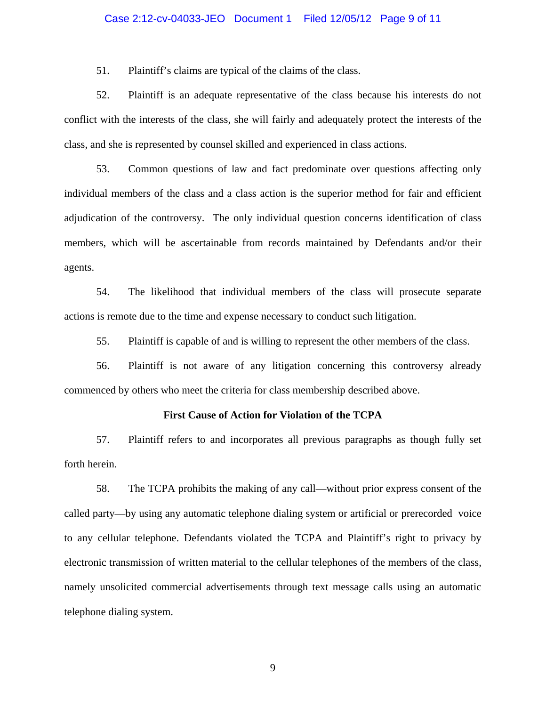#### Case 2:12-cv-04033-JEO Document 1 Filed 12/05/12 Page 9 of 11

51. Plaintiff's claims are typical of the claims of the class.

52. Plaintiff is an adequate representative of the class because his interests do not conflict with the interests of the class, she will fairly and adequately protect the interests of the class, and she is represented by counsel skilled and experienced in class actions.

53. Common questions of law and fact predominate over questions affecting only individual members of the class and a class action is the superior method for fair and efficient adjudication of the controversy. The only individual question concerns identification of class members, which will be ascertainable from records maintained by Defendants and/or their agents.

54. The likelihood that individual members of the class will prosecute separate actions is remote due to the time and expense necessary to conduct such litigation.

55. Plaintiff is capable of and is willing to represent the other members of the class.

56. Plaintiff is not aware of any litigation concerning this controversy already commenced by others who meet the criteria for class membership described above.

#### **First Cause of Action for Violation of the TCPA**

57. Plaintiff refers to and incorporates all previous paragraphs as though fully set forth herein.

58. The TCPA prohibits the making of any call—without prior express consent of the called party—by using any automatic telephone dialing system or artificial or prerecorded voice to any cellular telephone. Defendants violated the TCPA and Plaintiff's right to privacy by electronic transmission of written material to the cellular telephones of the members of the class, namely unsolicited commercial advertisements through text message calls using an automatic telephone dialing system.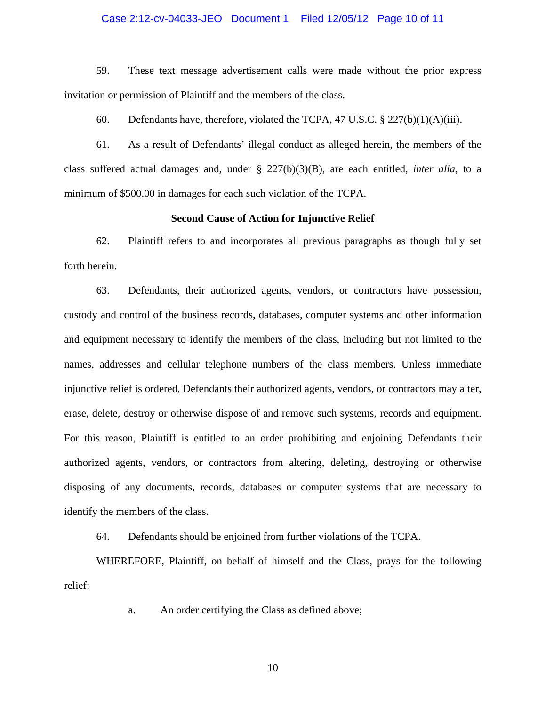#### Case 2:12-cv-04033-JEO Document 1 Filed 12/05/12 Page 10 of 11

59. These text message advertisement calls were made without the prior express invitation or permission of Plaintiff and the members of the class.

60. Defendants have, therefore, violated the TCPA, 47 U.S.C. § 227(b)(1)(A)(iii).

61. As a result of Defendants' illegal conduct as alleged herein, the members of the class suffered actual damages and, under § 227(b)(3)(B), are each entitled, *inter alia*, to a minimum of \$500.00 in damages for each such violation of the TCPA.

#### **Second Cause of Action for Injunctive Relief**

62. Plaintiff refers to and incorporates all previous paragraphs as though fully set forth herein.

63. Defendants, their authorized agents, vendors, or contractors have possession, custody and control of the business records, databases, computer systems and other information and equipment necessary to identify the members of the class, including but not limited to the names, addresses and cellular telephone numbers of the class members. Unless immediate injunctive relief is ordered, Defendants their authorized agents, vendors, or contractors may alter, erase, delete, destroy or otherwise dispose of and remove such systems, records and equipment. For this reason, Plaintiff is entitled to an order prohibiting and enjoining Defendants their authorized agents, vendors, or contractors from altering, deleting, destroying or otherwise disposing of any documents, records, databases or computer systems that are necessary to identify the members of the class.

64. Defendants should be enjoined from further violations of the TCPA.

WHEREFORE, Plaintiff, on behalf of himself and the Class, prays for the following relief:

a. An order certifying the Class as defined above;